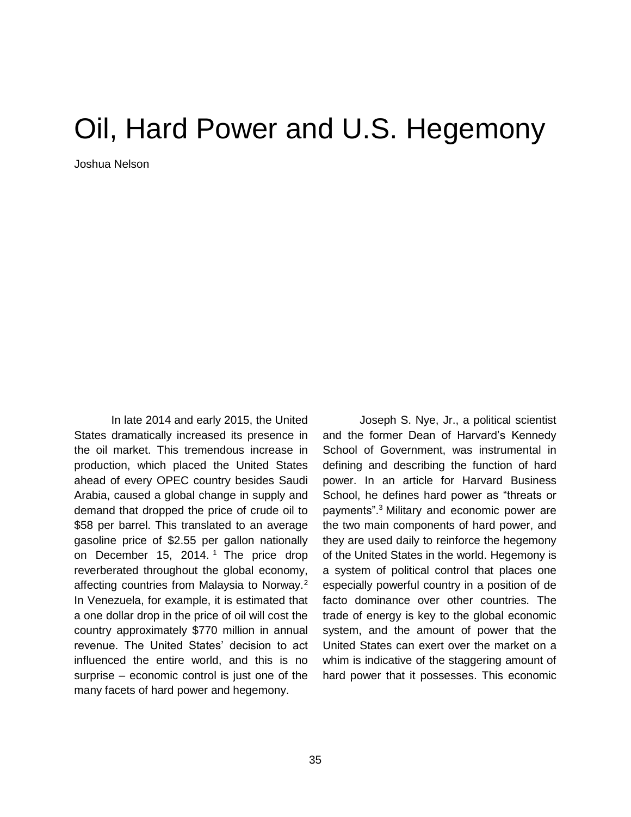## Oil, Hard Power and U.S. Hegemony

Joshua Nelson

In late 2014 and early 2015, the United States dramatically increased its presence in the oil market. This tremendous increase in production, which placed the United States ahead of every OPEC country besides Saudi Arabia, caused a global change in supply and demand that dropped the price of crude oil to \$58 per barrel. This translated to an average gasoline price of \$2.55 per gallon nationally on December 15, 2014.<sup>1</sup> The price drop reverberated throughout the global economy, affecting countries from Malaysia to Norway.<sup>2</sup> In Venezuela, for example, it is estimated that a one dollar drop in the price of oil will cost the country approximately \$770 million in annual revenue. The United States' decision to act influenced the entire world, and this is no surprise – economic control is just one of the many facets of hard power and hegemony.

Joseph S. Nye, Jr., a political scientist and the former Dean of Harvard's Kennedy School of Government, was instrumental in defining and describing the function of hard power. In an article for Harvard Business School, he defines hard power as "threats or payments". <sup>3</sup> Military and economic power are the two main components of hard power, and they are used daily to reinforce the hegemony of the United States in the world. Hegemony is a system of political control that places one especially powerful country in a position of de facto dominance over other countries. The trade of energy is key to the global economic system, and the amount of power that the United States can exert over the market on a whim is indicative of the staggering amount of hard power that it possesses. This economic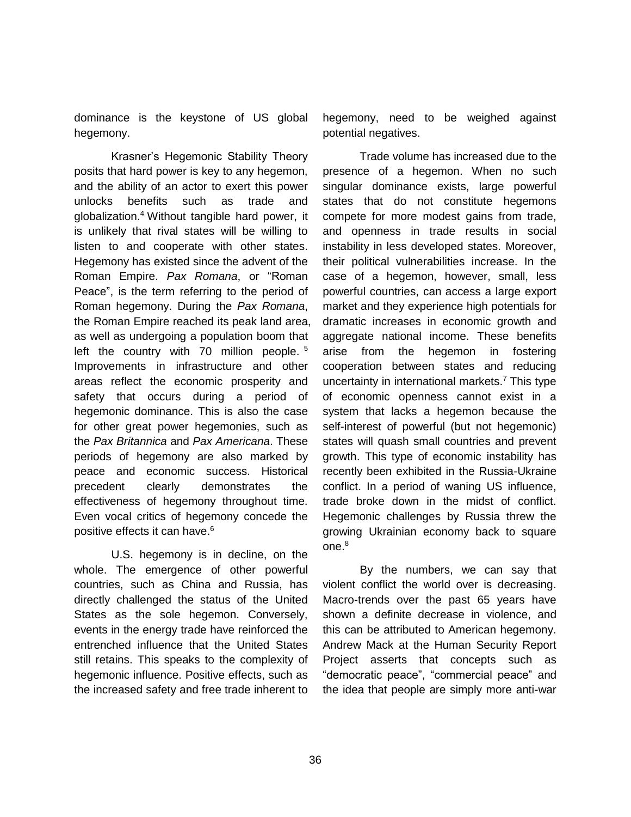dominance is the keystone of US global hegemony.

Krasner's Hegemonic Stability Theory posits that hard power is key to any hegemon, and the ability of an actor to exert this power unlocks benefits such as trade and globalization.<sup>4</sup> Without tangible hard power, it is unlikely that rival states will be willing to listen to and cooperate with other states. Hegemony has existed since the advent of the Roman Empire. *Pax Romana*, or "Roman Peace", is the term referring to the period of Roman hegemony. During the *Pax Romana*, the Roman Empire reached its peak land area, as well as undergoing a population boom that left the country with 70 million people.<sup>5</sup> Improvements in infrastructure and other areas reflect the economic prosperity and safety that occurs during a period of hegemonic dominance. This is also the case for other great power hegemonies, such as the *Pax Britannica* and *Pax Americana*. These periods of hegemony are also marked by peace and economic success. Historical precedent clearly demonstrates the effectiveness of hegemony throughout time. Even vocal critics of hegemony concede the positive effects it can have.<sup>6</sup>

U.S. hegemony is in decline, on the whole. The emergence of other powerful countries, such as China and Russia, has directly challenged the status of the United States as the sole hegemon. Conversely, events in the energy trade have reinforced the entrenched influence that the United States still retains. This speaks to the complexity of hegemonic influence. Positive effects, such as the increased safety and free trade inherent to

hegemony, need to be weighed against potential negatives.

Trade volume has increased due to the presence of a hegemon. When no such singular dominance exists, large powerful states that do not constitute hegemons compete for more modest gains from trade, and openness in trade results in social instability in less developed states. Moreover, their political vulnerabilities increase. In the case of a hegemon, however, small, less powerful countries, can access a large export market and they experience high potentials for dramatic increases in economic growth and aggregate national income. These benefits arise from the hegemon in fostering cooperation between states and reducing uncertainty in international markets.<sup>7</sup> This type of economic openness cannot exist in a system that lacks a hegemon because the self-interest of powerful (but not hegemonic) states will quash small countries and prevent growth. This type of economic instability has recently been exhibited in the Russia-Ukraine conflict. In a period of waning US influence, trade broke down in the midst of conflict. Hegemonic challenges by Russia threw the growing Ukrainian economy back to square one.<sup>8</sup>

By the numbers, we can say that violent conflict the world over is decreasing. Macro-trends over the past 65 years have shown a definite decrease in violence, and this can be attributed to American hegemony. Andrew Mack at the Human Security Report Project asserts that concepts such as "democratic peace", "commercial peace" and the idea that people are simply more anti-war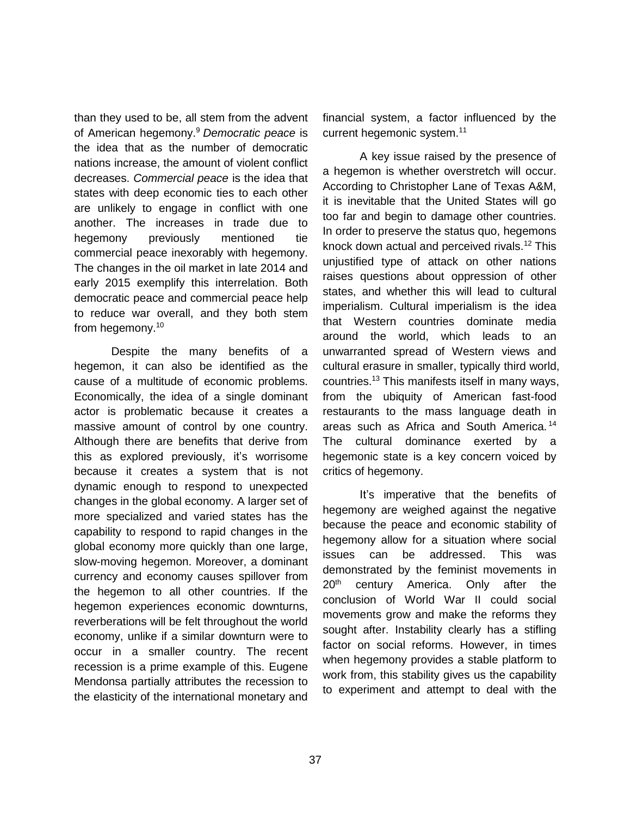than they used to be, all stem from the advent of American hegemony.<sup>9</sup> *Democratic peace* is the idea that as the number of democratic nations increase, the amount of violent conflict decreases. *Commercial peace* is the idea that states with deep economic ties to each other are unlikely to engage in conflict with one another. The increases in trade due to hegemony previously mentioned tie commercial peace inexorably with hegemony. The changes in the oil market in late 2014 and early 2015 exemplify this interrelation. Both democratic peace and commercial peace help to reduce war overall, and they both stem from hegemony. 10

Despite the many benefits of a hegemon, it can also be identified as the cause of a multitude of economic problems. Economically, the idea of a single dominant actor is problematic because it creates a massive amount of control by one country. Although there are benefits that derive from this as explored previously, it's worrisome because it creates a system that is not dynamic enough to respond to unexpected changes in the global economy. A larger set of more specialized and varied states has the capability to respond to rapid changes in the global economy more quickly than one large, slow-moving hegemon. Moreover, a dominant currency and economy causes spillover from the hegemon to all other countries. If the hegemon experiences economic downturns, reverberations will be felt throughout the world economy, unlike if a similar downturn were to occur in a smaller country. The recent recession is a prime example of this. Eugene Mendonsa partially attributes the recession to the elasticity of the international monetary and

financial system, a factor influenced by the current hegemonic system.<sup>11</sup>

A key issue raised by the presence of a hegemon is whether overstretch will occur. According to Christopher Lane of Texas A&M, it is inevitable that the United States will go too far and begin to damage other countries. In order to preserve the status quo, hegemons knock down actual and perceived rivals.<sup>12</sup> This unjustified type of attack on other nations raises questions about oppression of other states, and whether this will lead to cultural imperialism. Cultural imperialism is the idea that Western countries dominate media around the world, which leads to an unwarranted spread of Western views and cultural erasure in smaller, typically third world, countries.<sup>13</sup> This manifests itself in many ways, from the ubiquity of American fast-food restaurants to the mass language death in areas such as Africa and South America. <sup>14</sup> The cultural dominance exerted by a hegemonic state is a key concern voiced by critics of hegemony.

It's imperative that the benefits of hegemony are weighed against the negative because the peace and economic stability of hegemony allow for a situation where social issues can be addressed. This was demonstrated by the feminist movements in 20<sup>th</sup> century America. Only after the conclusion of World War II could social movements grow and make the reforms they sought after. Instability clearly has a stifling factor on social reforms. However, in times when hegemony provides a stable platform to work from, this stability gives us the capability to experiment and attempt to deal with the